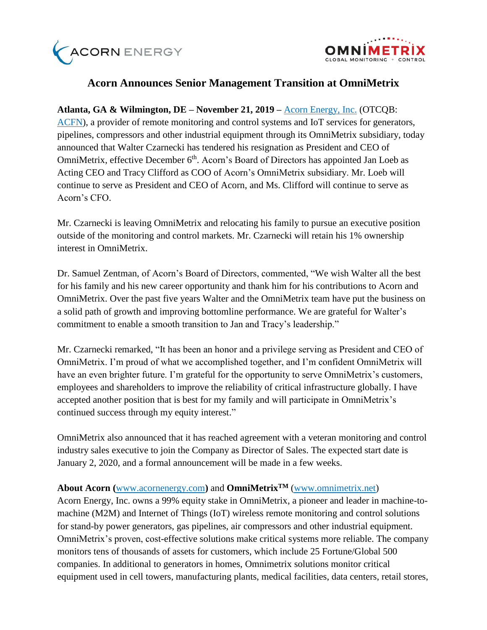



## **Acorn Announces Senior Management Transition at OmniMetrix**

**Atlanta, GA & Wilmington, DE – November 21, 2019 –** [Acorn Energy, Inc.](http://acornenergy.com/) (OTCQB: [ACFN\)](https://finance.yahoo.com/quote/ACFN/profile?p=ACFN), a provider of remote monitoring and control systems and IoT services for generators, pipelines, compressors and other industrial equipment through its OmniMetrix subsidiary, today announced that Walter Czarnecki has tendered his resignation as President and CEO of OmniMetrix, effective December 6<sup>th</sup>. Acorn's Board of Directors has appointed Jan Loeb as Acting CEO and Tracy Clifford as COO of Acorn's OmniMetrix subsidiary. Mr. Loeb will continue to serve as President and CEO of Acorn, and Ms. Clifford will continue to serve as Acorn's CFO.

Mr. Czarnecki is leaving OmniMetrix and relocating his family to pursue an executive position outside of the monitoring and control markets. Mr. Czarnecki will retain his 1% ownership interest in OmniMetrix.

Dr. Samuel Zentman, of Acorn's Board of Directors, commented, "We wish Walter all the best for his family and his new career opportunity and thank him for his contributions to Acorn and OmniMetrix. Over the past five years Walter and the OmniMetrix team have put the business on a solid path of growth and improving bottomline performance. We are grateful for Walter's commitment to enable a smooth transition to Jan and Tracy's leadership."

Mr. Czarnecki remarked, "It has been an honor and a privilege serving as President and CEO of OmniMetrix. I'm proud of what we accomplished together, and I'm confident OmniMetrix will have an even brighter future. I'm grateful for the opportunity to serve OmniMetrix's customers, employees and shareholders to improve the reliability of critical infrastructure globally. I have accepted another position that is best for my family and will participate in OmniMetrix's continued success through my equity interest."

OmniMetrix also announced that it has reached agreement with a veteran monitoring and control industry sales executive to join the Company as Director of Sales. The expected start date is January 2, 2020, and a formal announcement will be made in a few weeks.

## **About Acorn (**[www.acornenergy.com](http://www.acornenergy.com/)**)** and **OmniMetrixTM** [\(www.omnimetrix.net\)](http://www.omnimetrix.net/)

Acorn Energy, Inc. owns a 99% equity stake in OmniMetrix, a pioneer and leader in machine-tomachine (M2M) and Internet of Things (IoT) wireless remote monitoring and control solutions for stand-by power generators, gas pipelines, air compressors and other industrial equipment. OmniMetrix's proven, cost-effective solutions make critical systems more reliable. The company monitors tens of thousands of assets for customers, which include 25 Fortune/Global 500 companies. In additional to generators in homes, Omnimetrix solutions monitor critical equipment used in cell towers, manufacturing plants, medical facilities, data centers, retail stores,